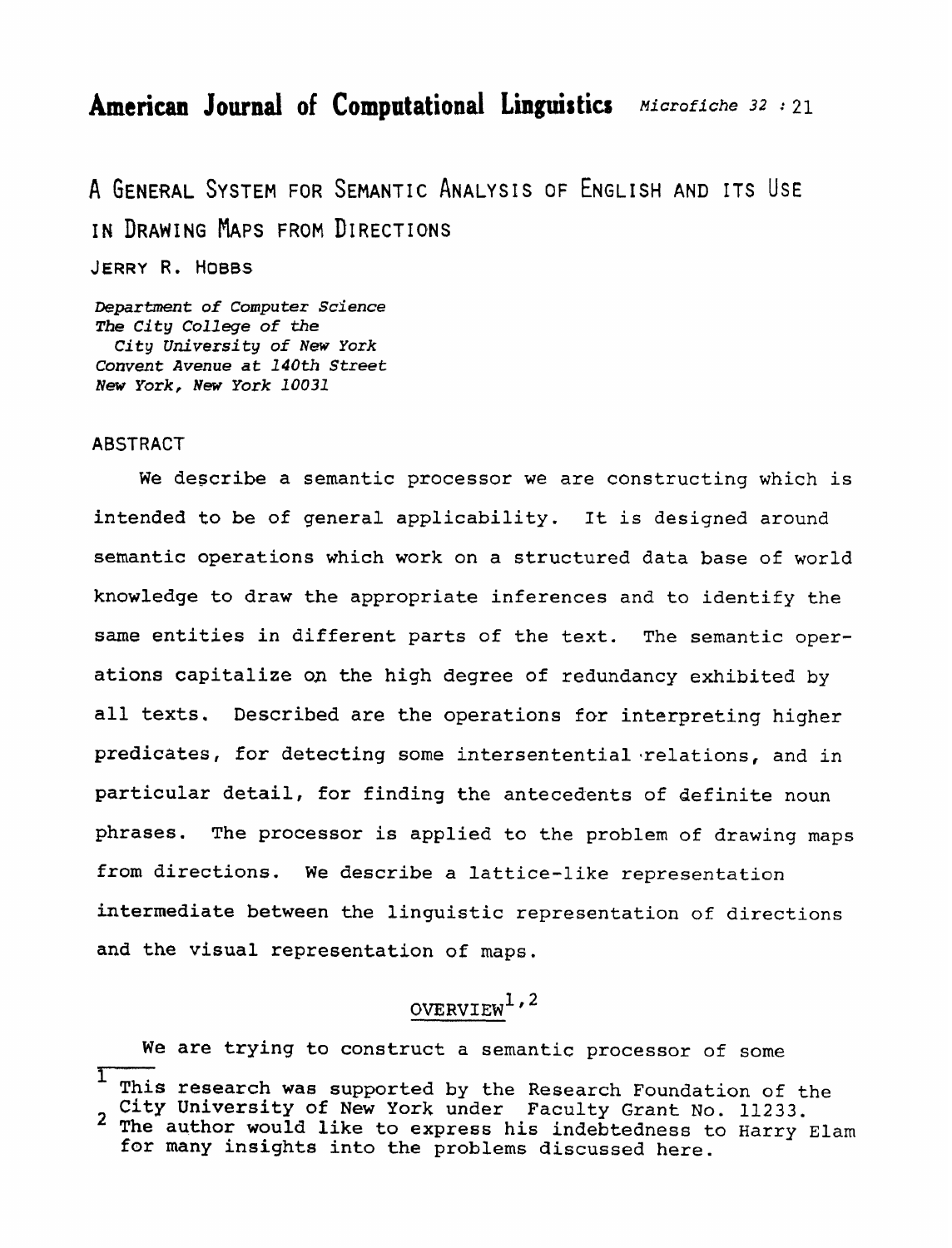# **American Journal of Compatationd Linguistics** *Microfiche* **32** : 21

A GENERAL SYSTEM FOR SEMANTIC ANALYSIS OF ENGLISH AND ITS USE IN DRAWING MAPS FROM DIRECTIONS

JERRY R. HOBBS

*Department* **of Computer** *Science The* City **College of the**  City **University of New** *York Convent* **Avenue at 140th** *Street Hew* **York,** *New York* **10031** 

## **ABSTRACT**

**We describe a semantic processor we** are **constructing which is**  intended **to be of general applicability. It is designed** around **semantic operations which** work **on a** structured **data base of world knowledge to draw the appropriate inferences and to identify the same entities** in different **parts of** the **text.** The **semantic operations capitalize on the high degree** of **redundancy** exhibited by **all texts. Described are the operations for interpreting higher predicates,** for detecting some **intersententialqrelations,** and **in particular detail, for** finding the antece6ents of **definite** noun **phrases. The processor is applied to the problem of drawing maps from** directions. **We describe a** lattice-like **representation intermediate between the linguistic representation of directions and the visual representation** of **maps.** 

# **OVERVIEW 1,2**

**We are trying to** construct a **semantic processor of** some

**A**<br> **A**<br> **A**<br> **E**<br> **A**<br> **E**<br> **This research was supported by the Research Foundation of the City University of New York** under Faculty Grant **No. 11233.** 

**The** author **would like to express his indebtedness to** Harry **Elam**  for **many insights** into **the problems discussed here.**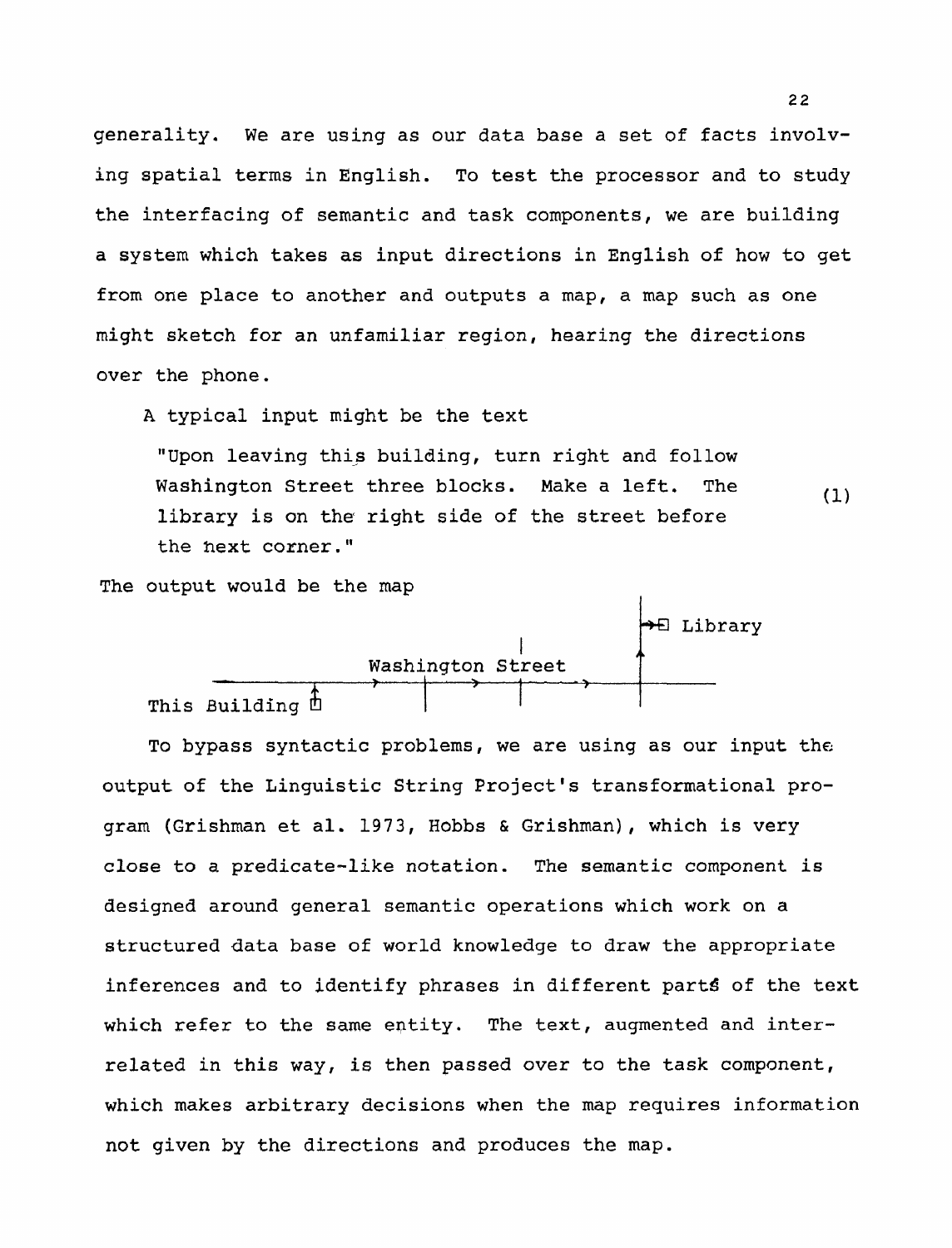**generality. We** are **using as our data base a set of** facts **involv**ing **spatial terms** in **English. To test** the **processor and to** study **the interfacing of semantic and task components, we are building a system** which **takes** as input **directions in** English **of** how **to get from one place to** another **and outputs a map, a map such as one**  might **sketch for an unfamiliar region, hearing the directions over the phone.** 

**A typical input might be the text** 

**"Upon leaving** thi,s **building, turn right and follow Washington Street three blocks. Make a left, The**   $(1)$ library **is an** the right **side of the** street before **the next** coxner."

**The** output **would be** the **map** 



**To bypass syntactic problems, we are** using as **our input the**  output of the **Linguistic String Project's transformational program (Grishman et al. 1973, Hobbs** & **Grishman), which is very close to a predicate-like natation. The semantic component is designed around general semantic operations which work on a**  structured **data base of world knowledge to draw the appropriate**  inferences and **to identify phrases in different** parts **of the text which** refer **to** the **same** eptity. **The text, augmented and** inter**related in this way, is then passed over to the task component, which makes arbitrary decisions when the map requires information not given by the directions and produces the map.**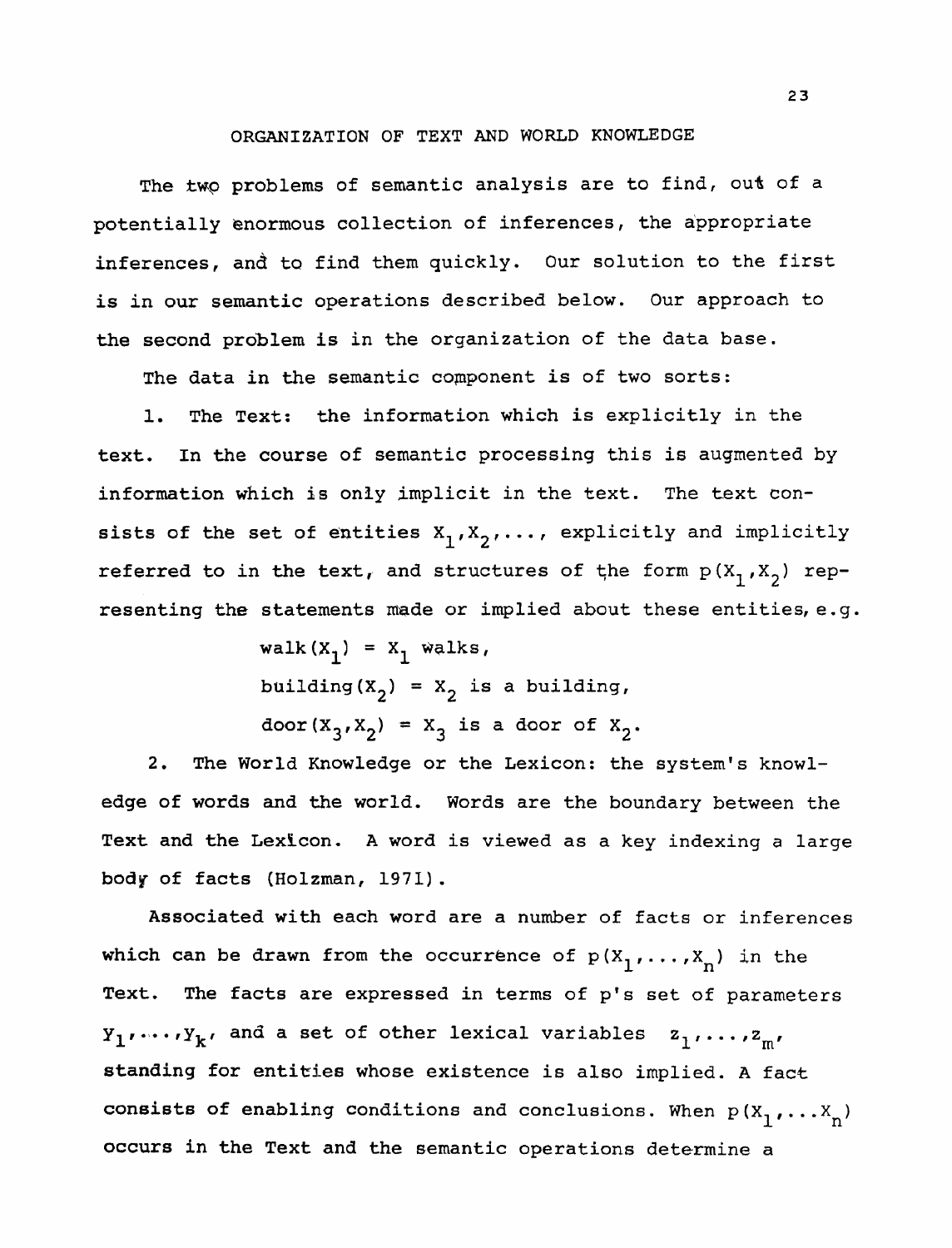#### **ORGANIZATION OF TEXT AND WORLD** KNOWLEDGE

**The** kwp **problems** of semantic **analysis are to** find, out **of** a potentially **enormous collection of inferences, the appropriate**  inferences, **and** to find **them** quickly. **Our** solution to the **first**  is in our semantic operations **described** below. Our approach to **the second problem is in the organization of the data base.** 

The data in the semantic component is of two sorts:

**1. The Text: the information which is explicitly in** the text, In **the course** of **semantic processing** this **is augmented by**  information **which is** only **implicit** in **the text.** The **text con**sists of the set of entities  $X_1, X_2, \ldots$ , explicitly and implicitly referred to in the text, and structures of the form  $p(X_1,X_2)$  representing the statements made or implied about these entities, e.g.

> $walk(X_1) = X_1$  walks, **building**  $(X_2) = X_2$  **is a building,**  $door (X_3, X_2) = X_3$  is a door of  $X_2$ .

**2. The World Knowledge or the Lexicon: the system's** knowl**edge of words and the world.** Words **are the boundary between the Text and the LexPcon. A word is viewed** as a key indexing a large **body** of **facts** (Holzman, 1971).

**Associated with each word are a number of** facts **or** inferences **which can be drawn from the occurrence of**  $p(X_1, \ldots, X_n)$  **in the Text.** The **facts are expressed in terms of p's set of parameters**   $Y_1 \cdots Y_k$ , and a set of other lexical variables  $z_1, \ldots, z_m$ , **stanaing for entities whose existence** is **also implied.** A **fact consists of enabling conditions and conclusions. When**  $p(X_1, \ldots, X_n)$ **occurs** in the **Text** and **the semantic operations determine a**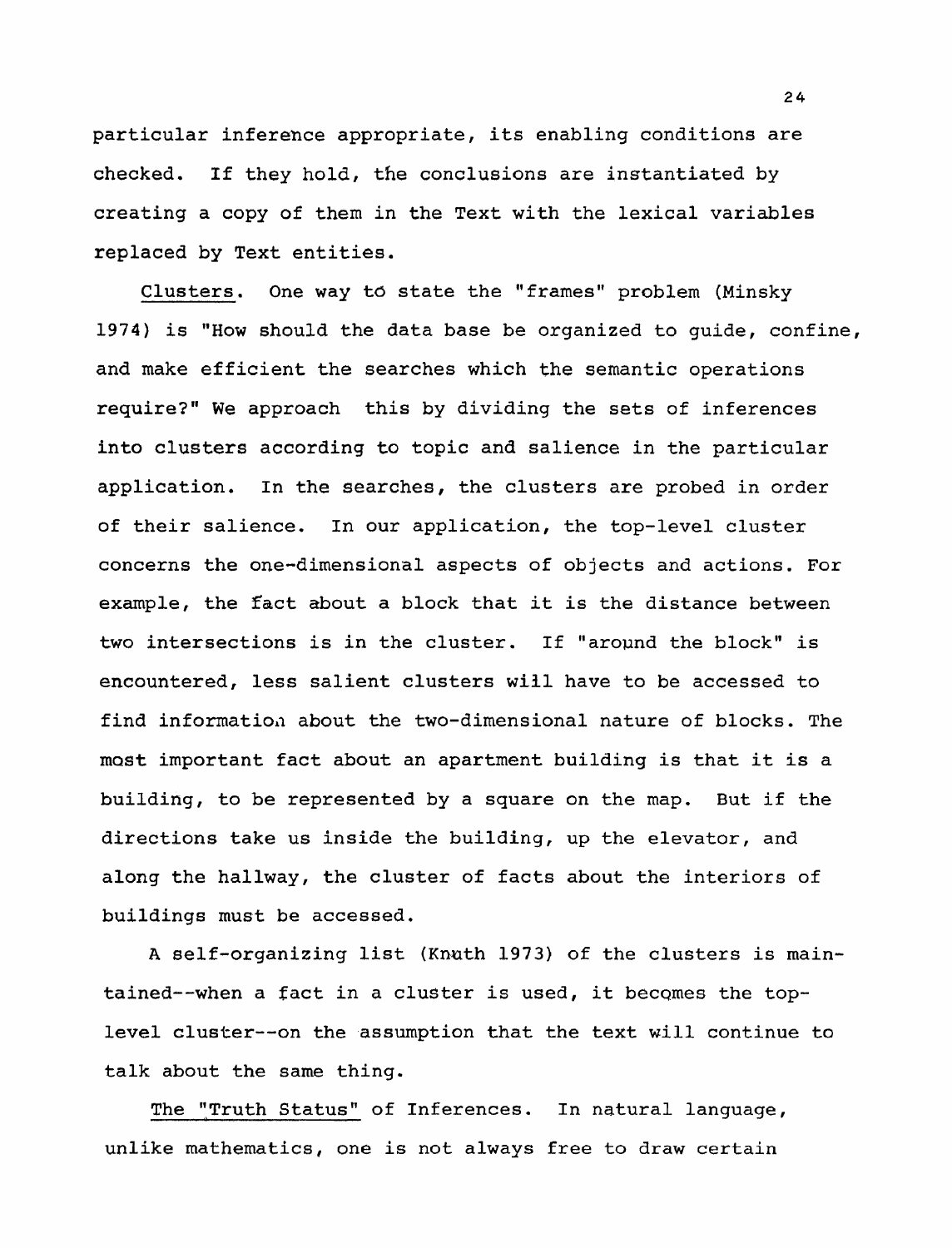particular inference appropriate, its enabling conditions are checked. If they hold, the conclusions are instantiated by creating a **copy** of them in the Text with the lexical variables replaced by **Text** entities.

Clusters. One **way td** state the "frames" problem (Minsky 1974) is **"How** should the data **base be** organized **to guide,** confine, **and** make efficient the **searches** which **the** semantic operations **require?"** We approach this by dividing **the** sets of inferences into **clusters** according to topic and salience in the particular application. In the searches, the clusters are probed in **order**  of their **salience.** In our application, the top-level cluster concerns the one-dimensional aspects of objects and actions. For example, the fact about a block that it is the distance between two **intersections** is **in the** cluster. If "around the block" is encountered, less salient clusters will have to be accessed to find information about the two-dimensional nature of blocks. The mast important fact about an apartment building is that it is a building, to be **represented** by a **square** on the map. But if the directions take us inside the building, up the elevator, **and**  along the hallway, the cluster of facts **about** the interiors of buildings must be accessed,

**A self-organizing list** (Knath **1973) of** the **clusters is main**tained--when a fact in a cluster **is** used, it **becqmes** the toplevel cluster--on the ,assumption that the **text will continue to**  talk **about** the same thing.

The "Truth Status" of Inferences. In natural language, unlike mathematics, one is not **always free to draw** certain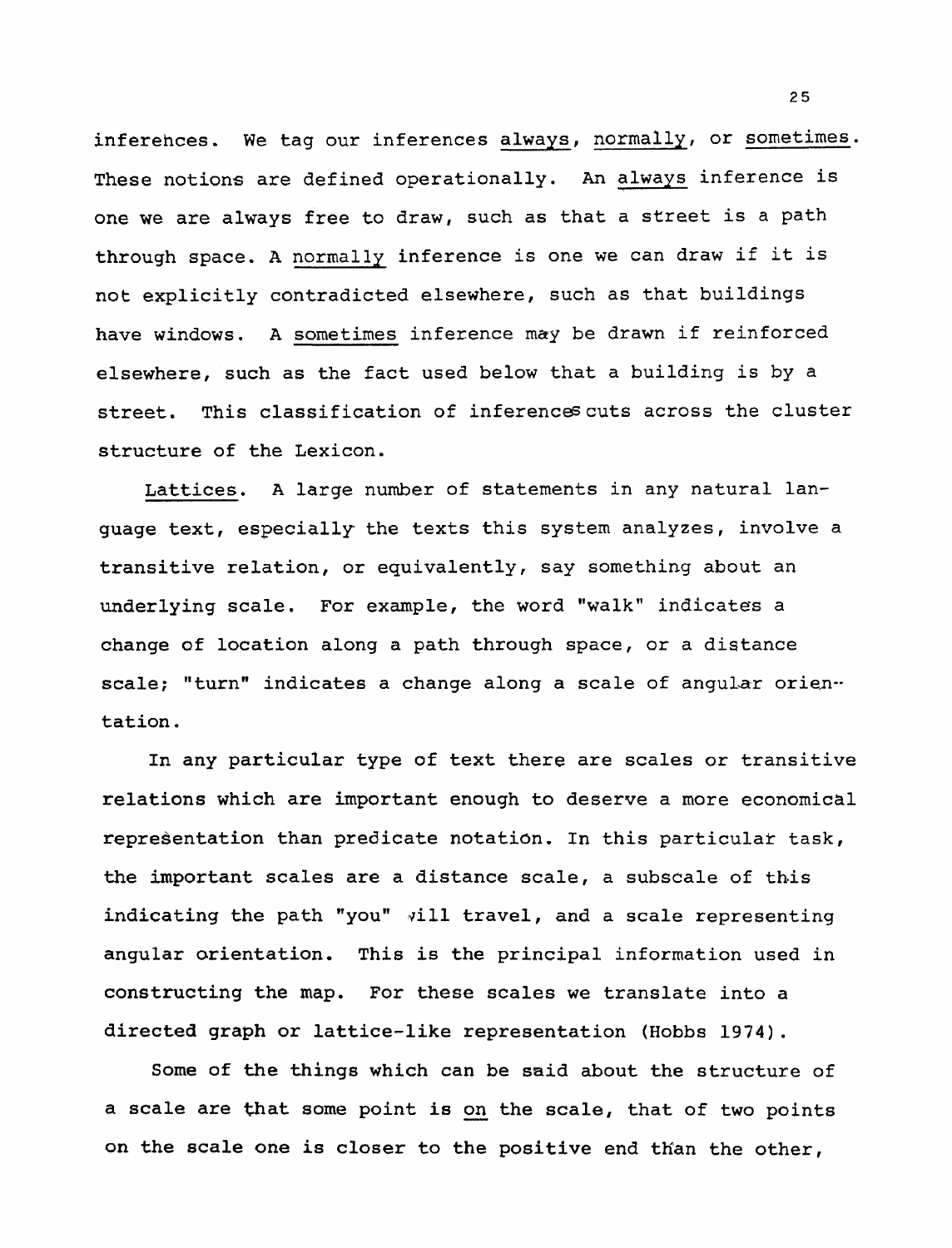**inferehces. We** tag **our** inferences **always,** normally, or **sometimes. These notions** are defined operationally. An always inference is one we are always free to **draw, such as that a street** is a path **through space. A** normally inference is one we can draw if **it is not explicitly** contradicted elsewhere, such as **that** buildings have **windows. A sometimes inference** may be drawn if reinforced **elsewhere, such as the** fact **used below** that a building is by a **street.** This classification of inferencescuts **across** the **cluster structure of the Lexicon.** 

**Lattices. A large** number of **statements** in **any natural language** text, **especially** the **texts this system analyzes, involve a transitive relation,** or equivalently, **say something about an underlying scale. For** example, **the** word "walk" indicates a change of **location along a** path **through space,** or **a distance**  scale; "turn" indicates a change along a scale of angular orientation.

In any particular type of text **there** are **scales** or transitive **relations** which are important enough to **deserve** a more economical representation than predicate notation. In this particular task, the important scales are a distance scale, a subscale of this **indicating** the path "you" **\$ill travel,** and **a scale representing angular orientation. This is the principal information used in constructing the map.** For **these** scales we translate into a **directed graph** or lattice-like **representation (Hobbs** 1974).

Some of **the things** which **can be said about** the **structure of**  a scale are that some point is on the scale, that of two points **on the scale one is closer** to the **positive** end **tHan** the other,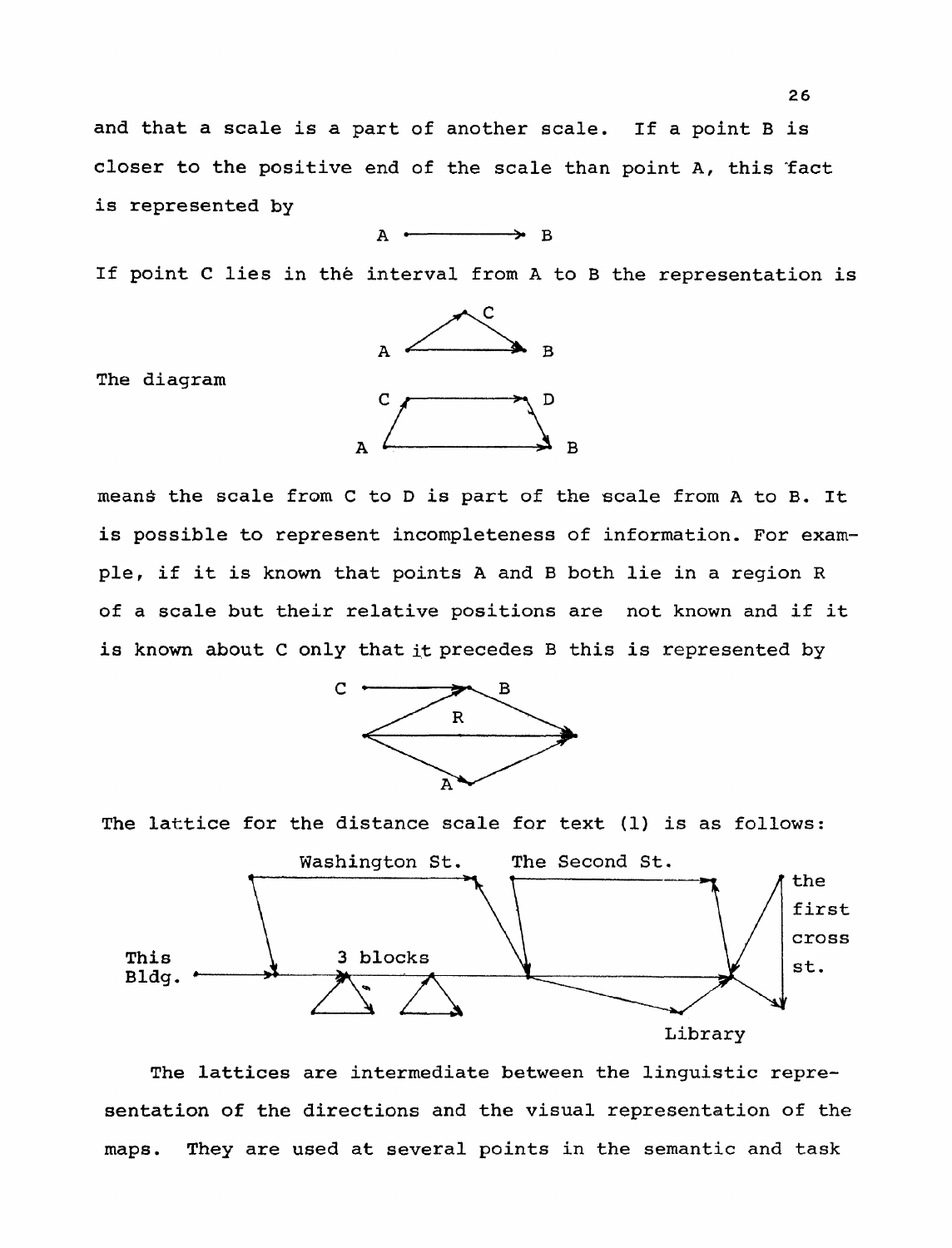**and that a scale is a part of another scale. If a point B is closer to the positive end of the scale than point A, this \*fact is represented by** 

> $A \rightarrow$  B

**If** point **C lies in the interval from A to B the representation is** 



The **diagram** 

mean& **the scale from C to D is part of the scale from A to B, It is possible to represent incompleteness of information. For example, if it is known that points A and B** both **lie in a region R of a scale** but **their** relative **positions are** not known **and if it**  is known about C only that it precedes B this is represented by



The **lattice** for **the distance scale** for text **(1) is as follows:** 



**The lattices are intermediate between the linguistic representation of the directions and the visual representation of the maps. They are used at several** points **in the semantic** and task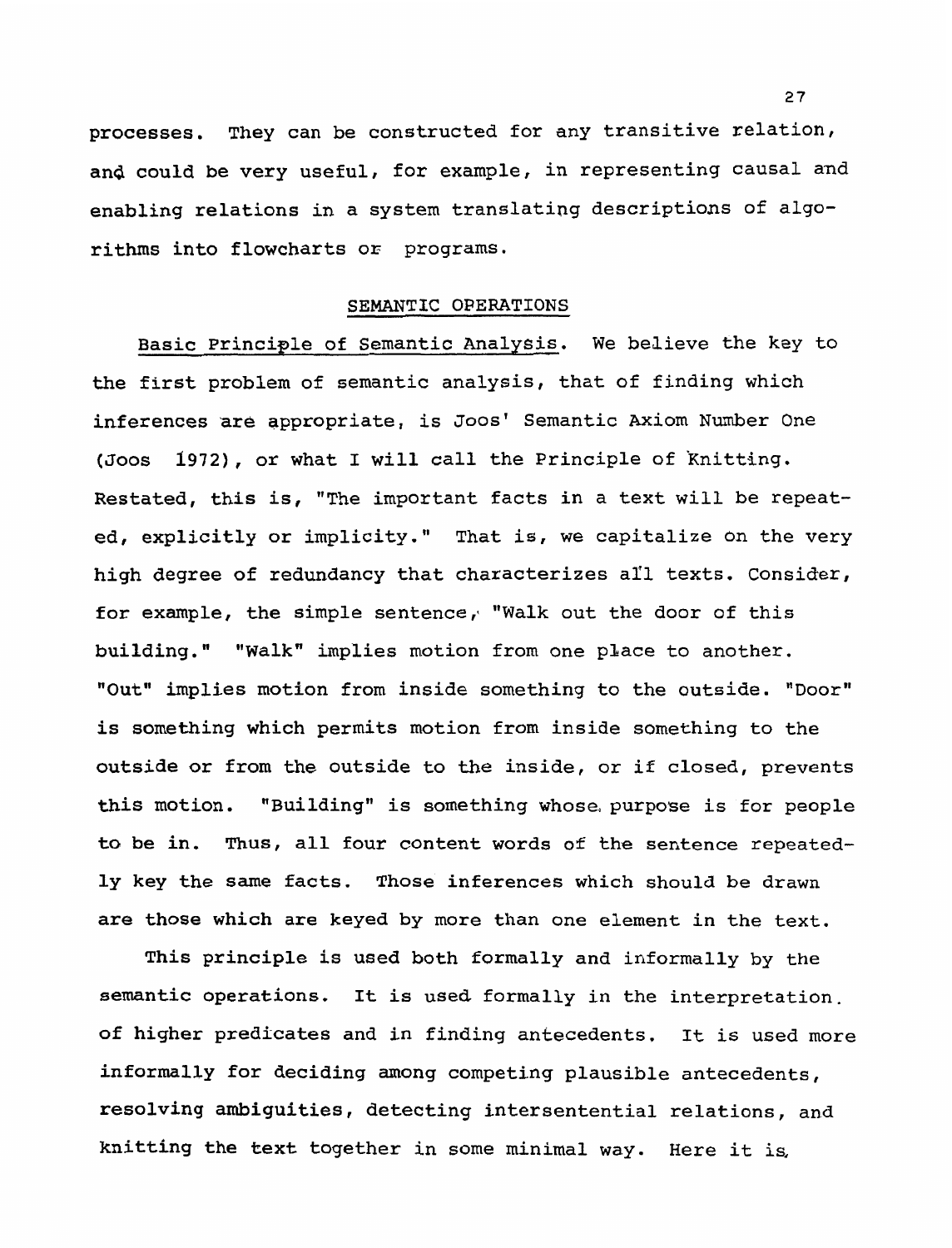**processes. They can** be **constructed** for any **transitive relation, and could** be **very** useful, for example, **in representing causal and enabling** relations **in** a **system translating descriptions of algorithms into flowcharts OE programs.** 

#### **SEMANTIC OPERATIONS**

**Basic Principle of Semantic Analysis. We bedieve the key to the first problem of semantic analysis, that of finding which inferences are appropriate,** is Joos' **Semantic** Axiom Number **One (Joos 1972),** or **what I** will **call the Principle** of **knitting. Restated, this is, "The important facts in a text** will be **repeated, explicitly or implicity." That is, we capitalize on the very**  high degree of redundancy that characterizes all texts. Consider, for example, the simple sentence, "Walk out the door of this **building." "Walk"** implies motion from one pLace **to another. "Out" implies motion** from **inside something to the** outside. **"Door"**  is **something which permits motion from inside something to the outside or from the outside to the inside, or if closed, prevents this motion.** "Building" **is something whose, purpose is for people to be in. Thus, all four** content **words of** the sentence **repeatedly key the same facts. Those inferences** which **should be** drawn **are those which are keyed by more than one element in** the **text.** 

This principle is **used both formally and informally by the semantic operations. It is used formally in the interpretation. of higher predicates and in finding antecedents. It is used more informally for deciding among competing** plausible antecedents, resolving **ambiguities,** detecting **intersentential relations, and**  knitting the text together in some minimal way. Here it is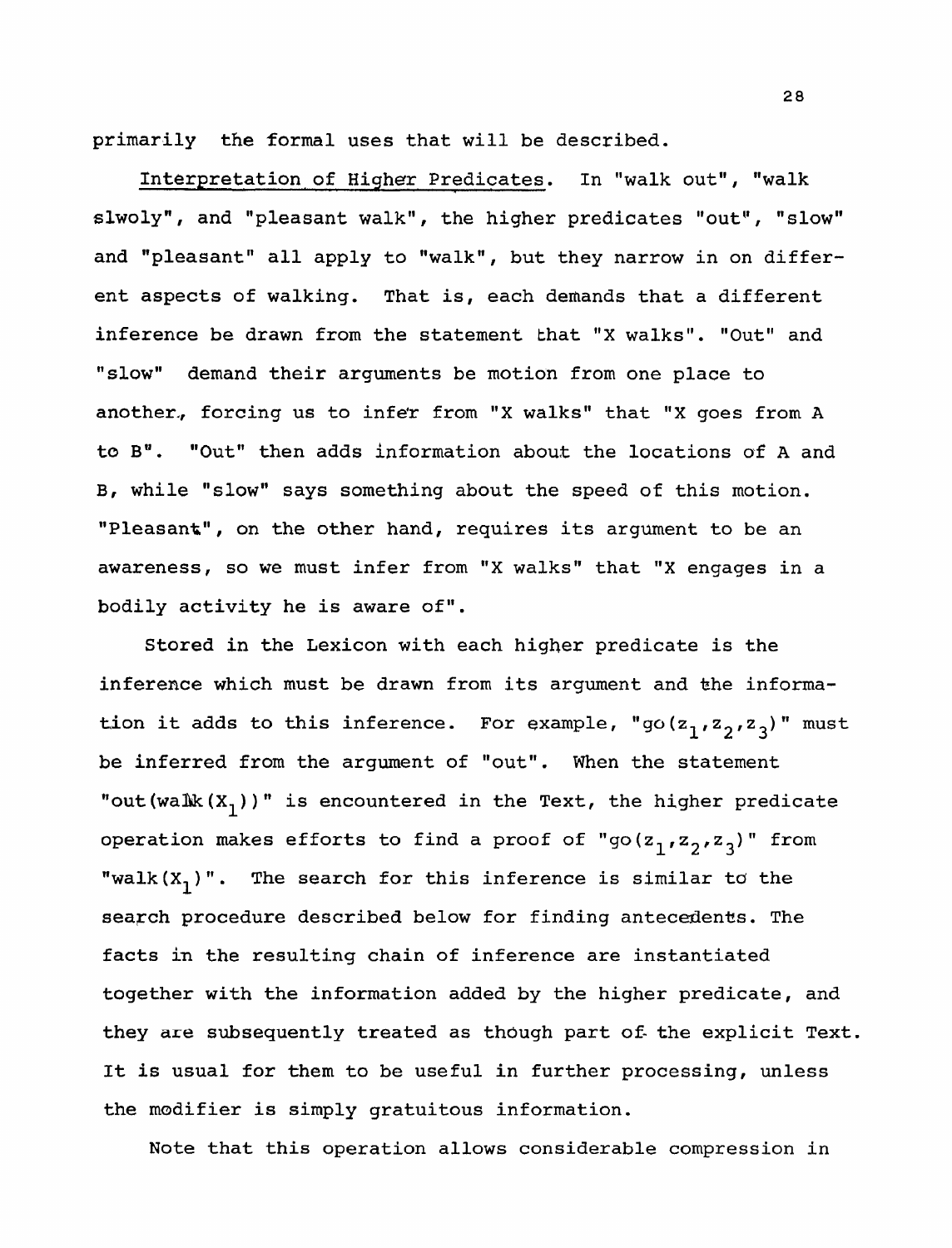primarily the formal **uses that** will be described.

Interpretation of Higher Predicates. In "walk out", "walk slwoly", and **"pleasant walk",** the higher predicates **"out",** "slow" **and** ''pleasant" **a11** apply to "walk", but they narrow in on different **aspects** of walking. That is, **each** demands that a different **inference be drawn** from the statement that "X walks". "Out" and "slow" **demand** their arguments be motion from one place to another., forcing us to infe'r from "X walks'' that "X **goes from A**  to **B".** "Out" **then adds** information about the locations sf **A** and **B,** while **"slow" says** something about the speed of this motion. **"Pleasant", on the other** hand, requires its argument to be an awareness, so **we must** infer from **"X walks"** that "X engages in a bodily activity he is aware of".

**Stored** in the Lexicon with each higher **predicate** is the inference which must be drawn from its argument and the **informa**tion it adds to this inference. For example, "go( $z_1, z_2, z_3$ )" must be **inferred** from the argument of "out". When the statement "out(walk(X<sub>1</sub>))" is encountered in the Text, the higher predicate operation makes efforts to find a proof of "go( $z_1$ , $z_2$ , $z_3$ )" from "walk(X<sub>1</sub>)". The search for this inference is similar to the search procedure described below for finding antecedents. The facts in the **resulting** chain of **inference** are instantiated together with the information added by **the** higher predicate, and they are subsequently **treated** as though part **of- the** explicit Text. It **is** usual **for them** to be useful **in** further processing, unless the modifier is simply gratuitous information.

Note that this operation allows considerable compression in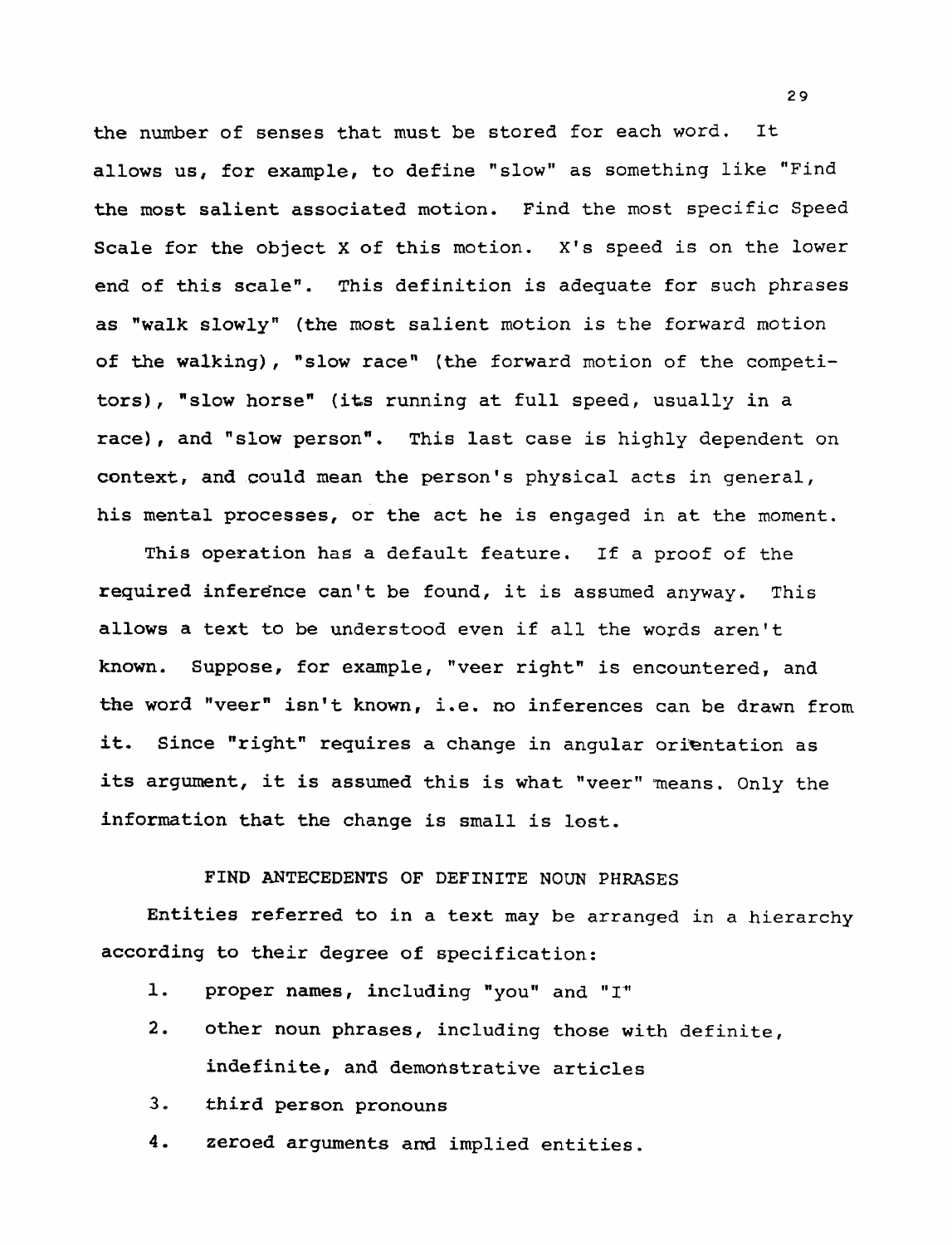**the number of senses that must be** stored **for each word\*** It **ellows us,** for **example, to** define **"slow" as something like** "Find the **most salient associated motion. Find** the **most specific speed Scale for the object X** of **this** motion. **X's speed** is **on** the **lower end of this scale". This definition is adequate for** such **phrases as "walk slowlyn (the most salient** motion **is the forward motion of the walking), "slow race" [the forward motion of the competitors), "slow horsew (its running at** full **speed, usually in a**  race), and "slow person". This last case is highly dependent on context, **and could mean the person's physical acts** in **general,**  his **mental processes,** or the **act** he **is** engaged in **at the moment.** 

**This operation has a default** feature, If **a proof of** the **required** inference **can't be** found, **it is assumed** anyway. **This allows a text to be understood even if all the words aren't**  known. Suppose, for example, "veer right" is encountered, and **the word "veern isn't known, i.e. no inferences can be drawn** from it. Since "right" requires a change in angular orientation as **its argument, it is assumed this is** what **"veer" means.** Only **the information that the change is small is lost.** 

**FIND ANTECEDENTS OF** DEFINITE **NOUN PHRASES** 

Entities referred to in a text may be arranged in a hierarchy **according to** their **degree of specification:** 

- **1. proper names, including "you" and "I"**
- **2. other noun phrases, including those with definite, indefinite, and demonstrative articles**
- **3. khird person pronouns**
- **4. zeroed arguments am5 implied entities.**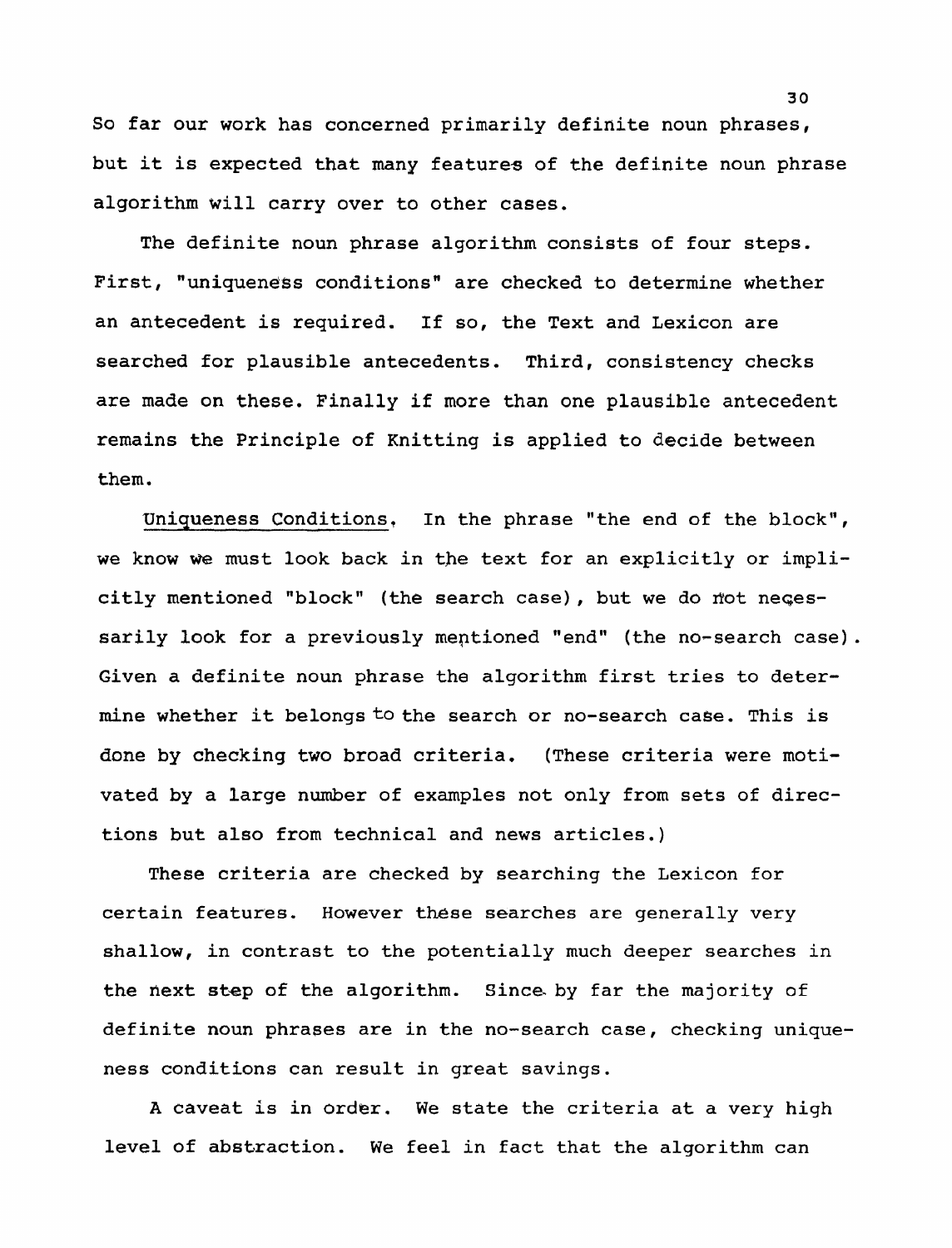So far **our** work has concerned primarily **definite** noun phrases, **but it** is expected **that** many features **of** the definite **noun** phrase **algorithm** will **carry** over to **other cases,** 

The definite noun **phrase** algorithm **consists of** four **steps.**  First, "uniqueness conditions" are checked to determine whether an **antecedent** is required. **If so, the Text and Lexicon are searched for plausible** anteceaents. **Third, consistency** checks **are made on these.** Finally if more than one **plausible** antecedent remains the **Principle** of Knitting is applied to **decide between**  them.

**Vniqueness** Conditions, In the phrase **"the end of the block", we know we must look** back in **the** text for an explicitly or impli**citly** mentioned **"block"** (the **search case),** but **we** do fiat neqessarily **look for** a **previously meptioned "end" (the no-search case)** . **Given** a definite **noun** phrase the algorithm **first tries** to **determine whether** it belongstothe **search** or **no-search case. This is done** by **checking two** broad criteria. **(These criteria** were moti**vated** by a **large number of examples** not only from **sets** of **directions but** also from technical **and news** articles,)

**These criteria** are checked by searching the **Lexicon for**  certain features. **However these searches are generally** very **shallow,** in contrast to **the** potentially much **deeper searches** in **the riext step of the algorithm. Sincs by far the majority of**  definite **noun** phrases **are** in the no-search **case, checking unique**ness conditions can result in great savings.

**<sup>A</sup>caveat is in order.** We **state** the criteria **at a very high level** of **abstraction, We feel** in fact that the algorithm can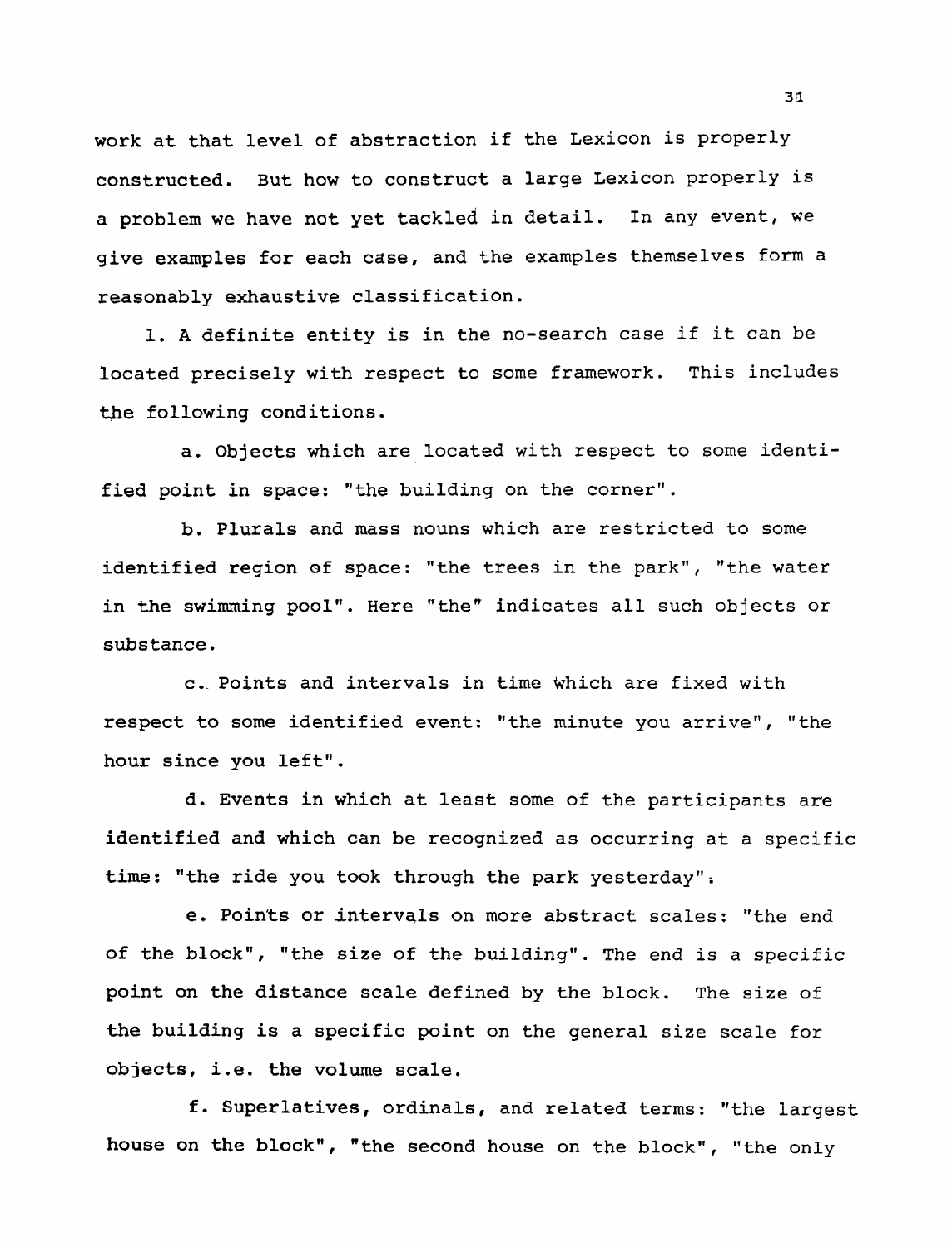work at that level of abstraction if the Lexicon is properly constructed. But how to construct a large Lexicon properly is **a problem we have not yet tackled in detail. In any event, we give examples** for **each case, and the examples themselves form a reasonably exhaustive classification.** 

**1. A** definite **entity is in the no-search case** if **it can be**  located precisely with respect to some framework. This includes **me following conditions.** 

**a. Objects which are located with respect to some identi**fied point **in space: "the building on the corner".** 

**b, Plurals and mass nouns which are restricted to some identified region sf space: "the trees in the park",** "the **water in the swimming pool". Here "the" indicates all** such **objects or substance.** 

**c.. Points and intervals in time khich are fixed with respect to some identified event: "the minute you arrive", "the hour since you left".** 

**d. Events in which at least some of the participants are identified and which** can **be recognized as occurring at a specific**  time: "the ride you took through the park yesterday":

**e, Points or intervqls on** more **abstract scales: "the** end **of the block", "the size of** the **building". The end is a specific**  point **on the distance scale defined by the block. The size of the building is a specific point on the general size scale** for **objects** , **i** . **e. the volume scale.** 

**f. Superlatives, ordinals, and related terms:** "the **largest house on the block", "the second house on the block",** "the **only**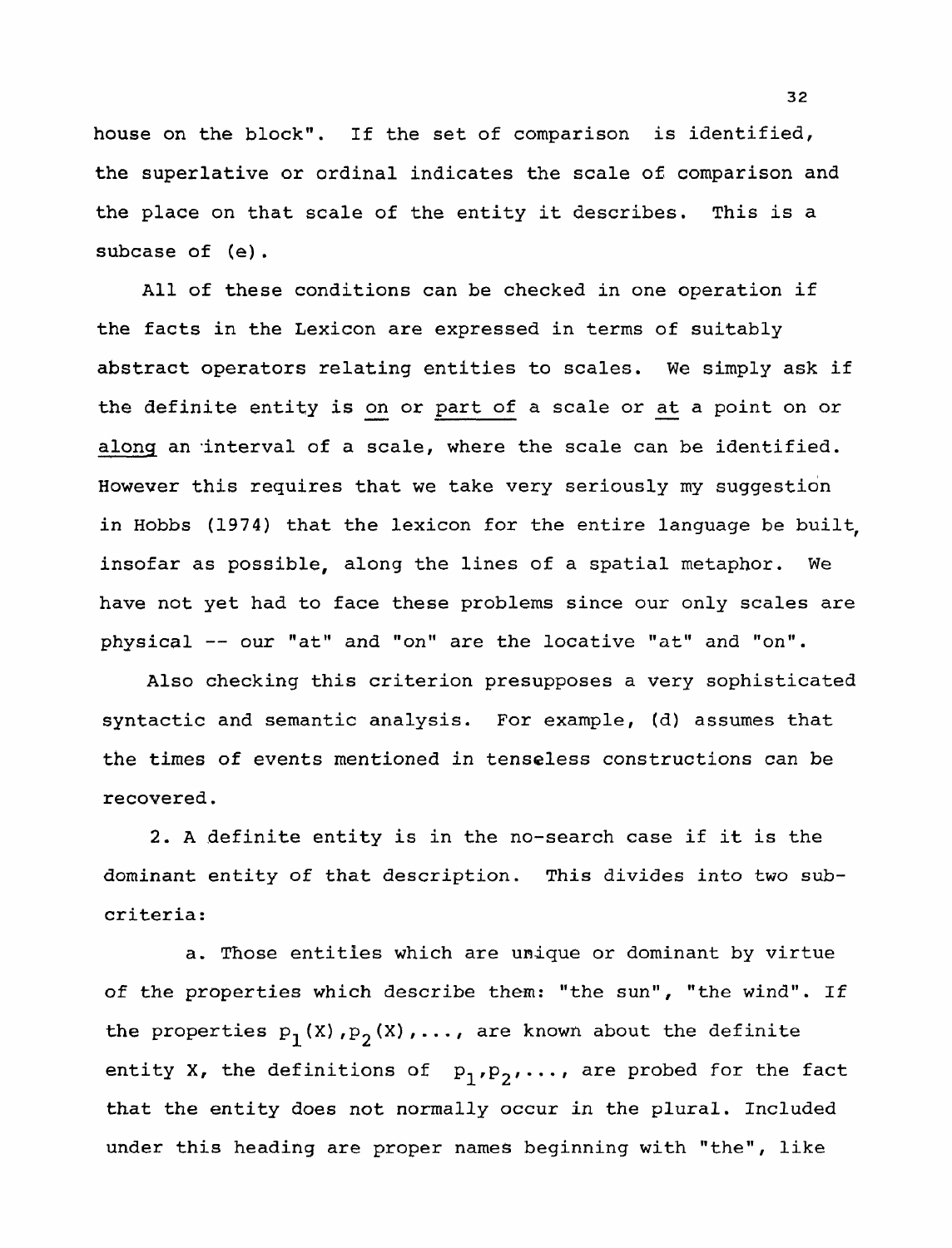**house on the block". If the set of comparison is identified, the superlative or ordinal indicates the** scale oE **comparison** and **the place** on **that** scale of the entity **it describes. This is a subcase of (e)** .

All of **these** conditions can be **checked in one operation if the facts in the Lexicon are expressed in terms of suitably abstract operators** relating **entities** to scales. **We** simply **ask if**  the definite entity is on or part of a scale or at a point on or along an interval of a scale, where the scale can be identified. **However this** requires **that** we take **very seriously** my **suggestion in Hobbs (1974)** that **the lexicon for the entire language be built, insofar as possible, along the lines of** a spatial **metaphor. We**  have not **yet** had **to** face **these problems since our only scales are**  physical -- **our** "at" and "on" are **the** locative "at" and "on".

**Also checking this** criterion **presupposes** a very **sophisticated**  syntactic and **semantic analysis. For example, [d) assumes that the** times of **events** mentioned **in tenseless constructions** can **be recovered.** 

**2. A definite entity is in the no-search** case if it is **the**  dominant **entity of** that **description. This** divides *into* **two sub**criteria:

a, **Those** entities which are unique **or dominant by virtue**  of the properties which describe them: "the sun", "the wind". If the properties  $p_1$  **(X)** ,  $p_2$  **(X)** , ..., are known about the definite entity X, the definitions of  $p_1, p_2, \ldots$ , are probed for the fact **that the entity does not normally occur in the plural. Included under this heading are proper names beginning with "the", like**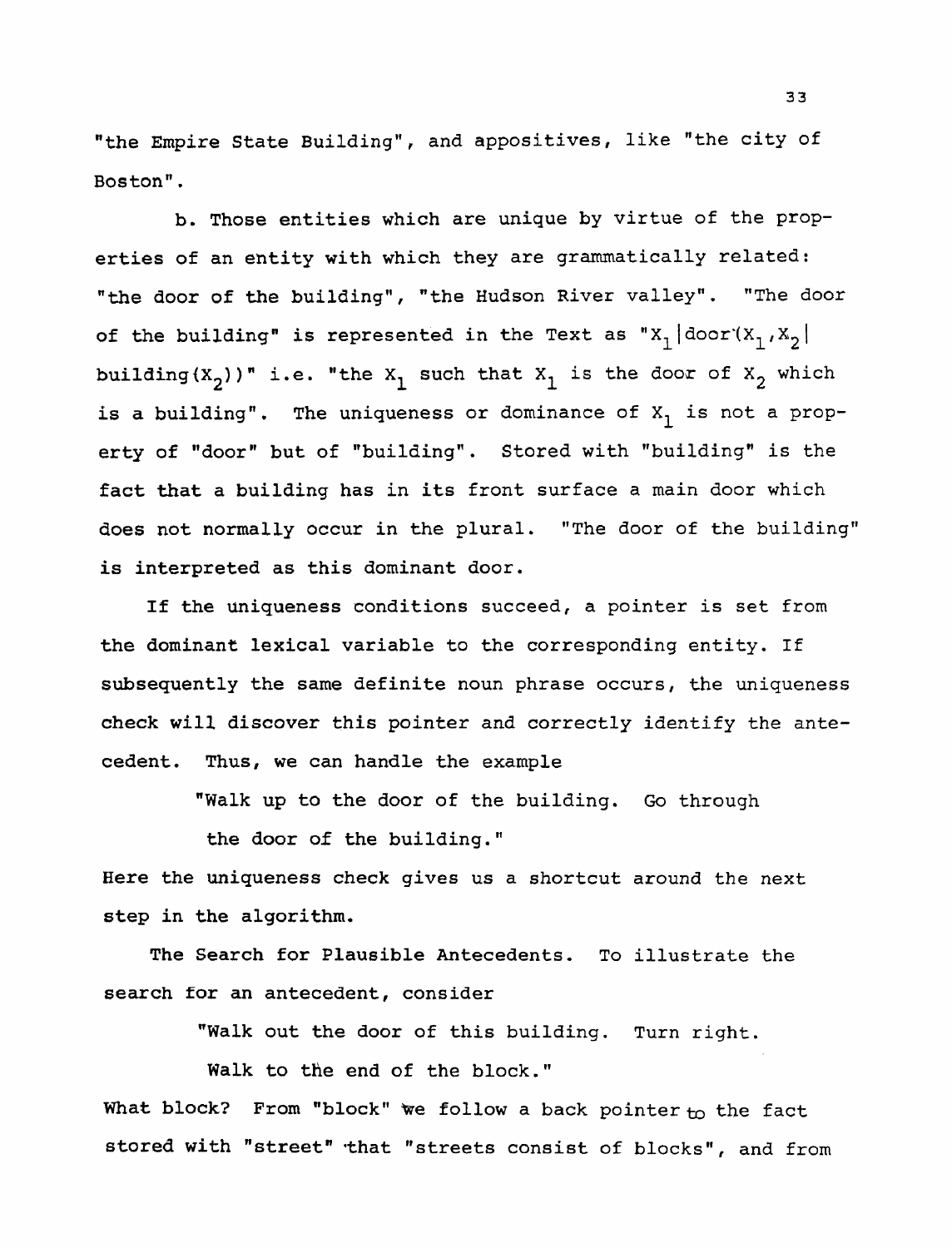"the Empire State Building", and appositives, like "the city of Boston".

**b. Those entities which are unique by virtue** of the prop**erties of an entity with which they are grammatically related: "the door of the building", "the Hudson River valley".** "The **door of the building" is represented in the Text as**  $"X_1 | door(X_1, X_2|)$  $\text{building}(X_2)$ )" i.e. "the  $X_1$  such that  $X_1$  is the door of  $X_2$  which is a building". The uniqueness or dominance of X<sub>1</sub> is not a property **of "door" but of "building".** Stored with **"building" is the fact that a building has in its front** surface **a main** door **which**  does not normally occur in the plural. "The door of the building" is interpreted as this dominant door.

If the uniqueness conditions succeed, a pointer is set from the **dominant lexical variable to** the corresponding entity. **If subsequently the same definite noun phrase** occurs, **the uniqueness check will discover** this pointer **and** correctly **identify the** ante**cedent. Thus, we can handle the example** 

**"Walk up to the door of** the **building. Go through** 

**the door of the building."** 

**Here the uniqueness** check **gives us a** shortcut around **the** *next*  **step in the algorithm.** 

**The Search for Plausible Antecedents. To illustrate the search for an antecedent, consider** 

"Walk out the door of this building. Turn right.

**Walk to the end of the block.** "

**What block?** From "block" we follow a back pointer to the fact stored with "street" that "streets consist of blocks", and from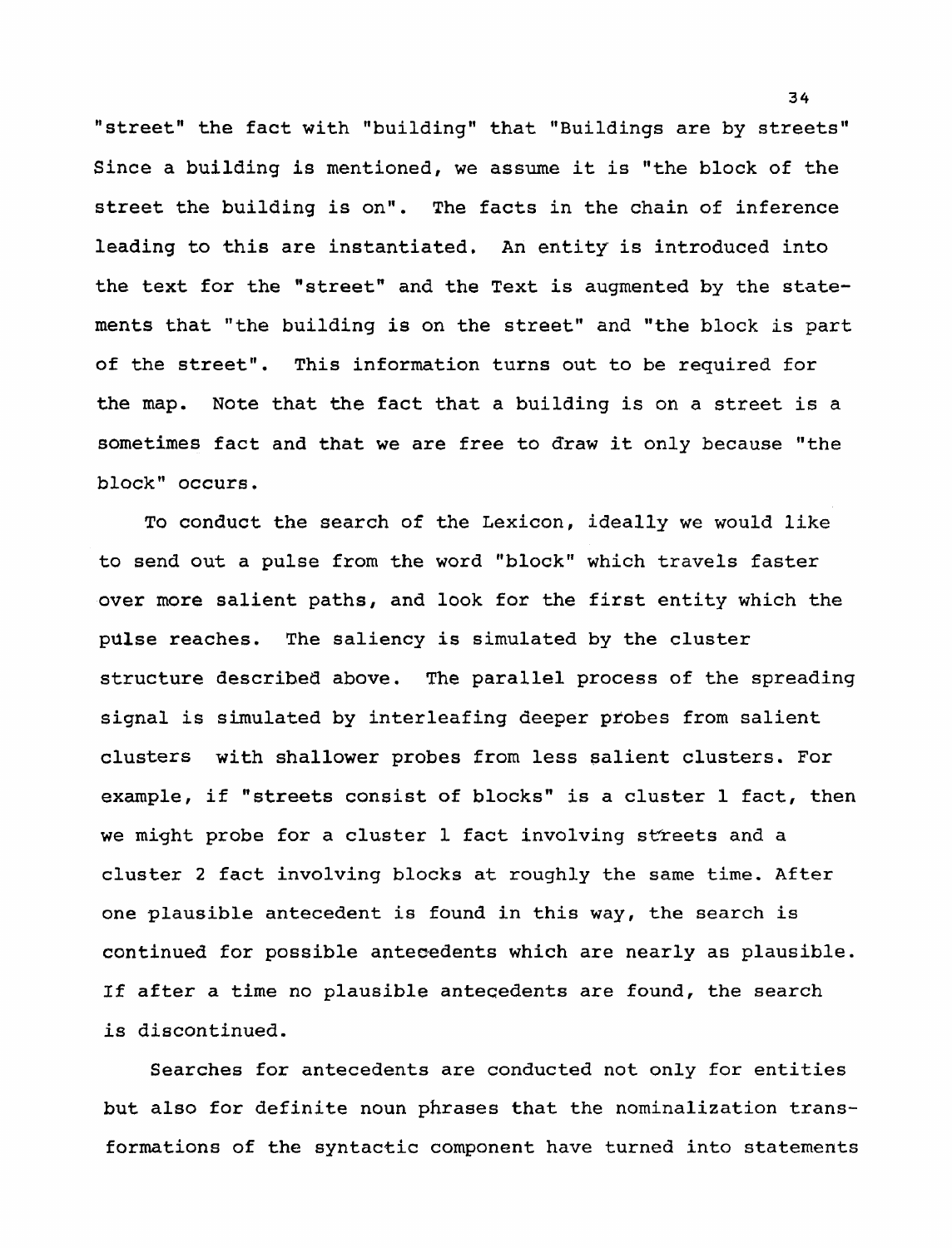"street" the fact with "building" that "Buildings are by streets" **Since a building is mentioned, we assume it is "the block of the street the** building **is** on". The **facts in the** chain **of inference leading to this are instantiated,** An **entity is introduced** into **the text** for the **"street" and the Text is** augmented **by the statements that "the** building is on **the street"** and **"the** block **is part of the street". This information turns out to be required for the map.** Note **that** the Eact **that a building is on a street is a sometimes** fact and **that we are free to d'raw it only because "the**  block" occurs.

**To** conduct **the search of the Lexicon, ideally we would like to send out a pulse from the word "block" which travels faster over** more **salient paths, and look for the first entity which the**  pulse reaches. The saliency is simulated by the cluster **structure descrihea above, The parallel process of the spreading signal is simulated by interleafing deeper pfobes from salient clusters with shallower probes from less salient clusters. For example,** if **"streets consist of blocks"** is a cluster **1** fact, then we might probe for a cluster 1 fact involving streets and a **cluster 2 Eact involving** blocks **at** roughly **the same time, After one plausible antecedent is** found **in this way,** the **search is continued for possible antecedents which are** nearly **as plausible. If after a time no plausible antecedents are found, the search is discontinued.** 

**Searches** for **antecedents are conducted not only for entities but also for definite noun phrases that the nominalization transformations of** the **syntactic component** have **turned into statements**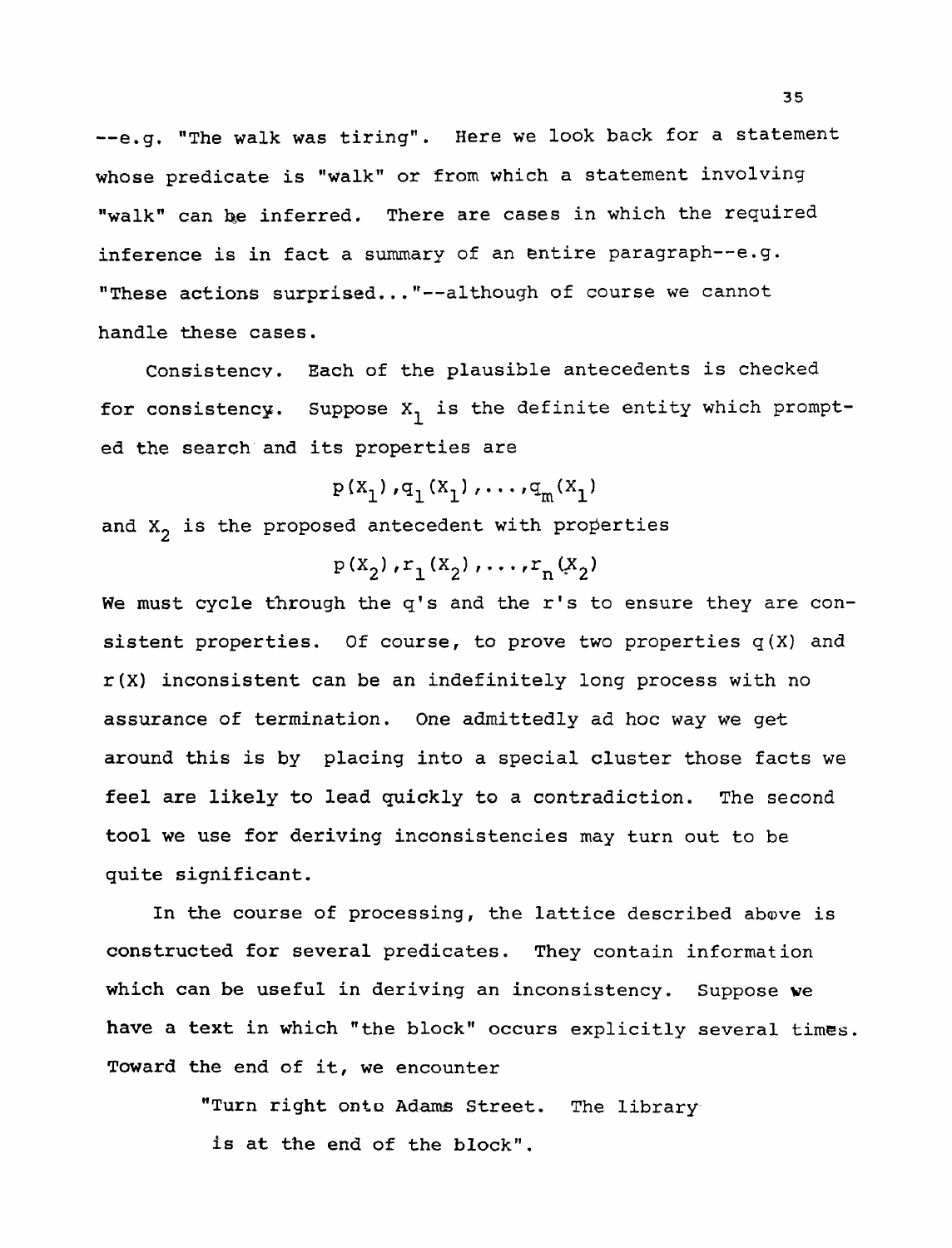**--e.g. "The walk was** tiring". **Here we** look back **for a statement whose** predicate **is "walk" or from which a statement involving "walkn can be** inferred. **There** are **cases in which the required**  inference **is in** fact **a summary** of **an entire paragraph--e.g. "These** actions **surprised.** , . **"--although of course we** cannot **handle these cases.** 

**Consistencv. Each of the plausible antecedents is checked for consistency. Suppose X1 is the definite entity which** prompt**ed the search and its properties are** 

 $p(X_1), q_1(X_1), \ldots, q_m(X_n)$ 

**and X2 is the proposed antecedent with properties** 

 $p(X_2), r_1(X_2), \ldots, r_n(X_2)$ 

**We must** cycle through **the q's** and **the r's to ensure they are consistent properties. Of course, to prove** two **properties q(X) and r(X) inconsistent can be an indefinitely long process with no assurance of termination. One admittedly ad hoc way we get around this is by placing into a special** cluster **those** facts **we feel are likely to** lead **quickly to a contradiction.** The second **tool we use** for **deriving inconsistencies** may turn **out to be quite significant.** 

**In the course of processing, the lattice described abave is constructed for several predicates. They** contain information **which can** be **useful** in **deriving** an **inconsistency. Suppose we have a text in which "the block" occurs explicitly several times. Toward the end of it, we** encounter

> "Turn **right** onto **Adarnii** Street. The **library fs at the end of** the **block".**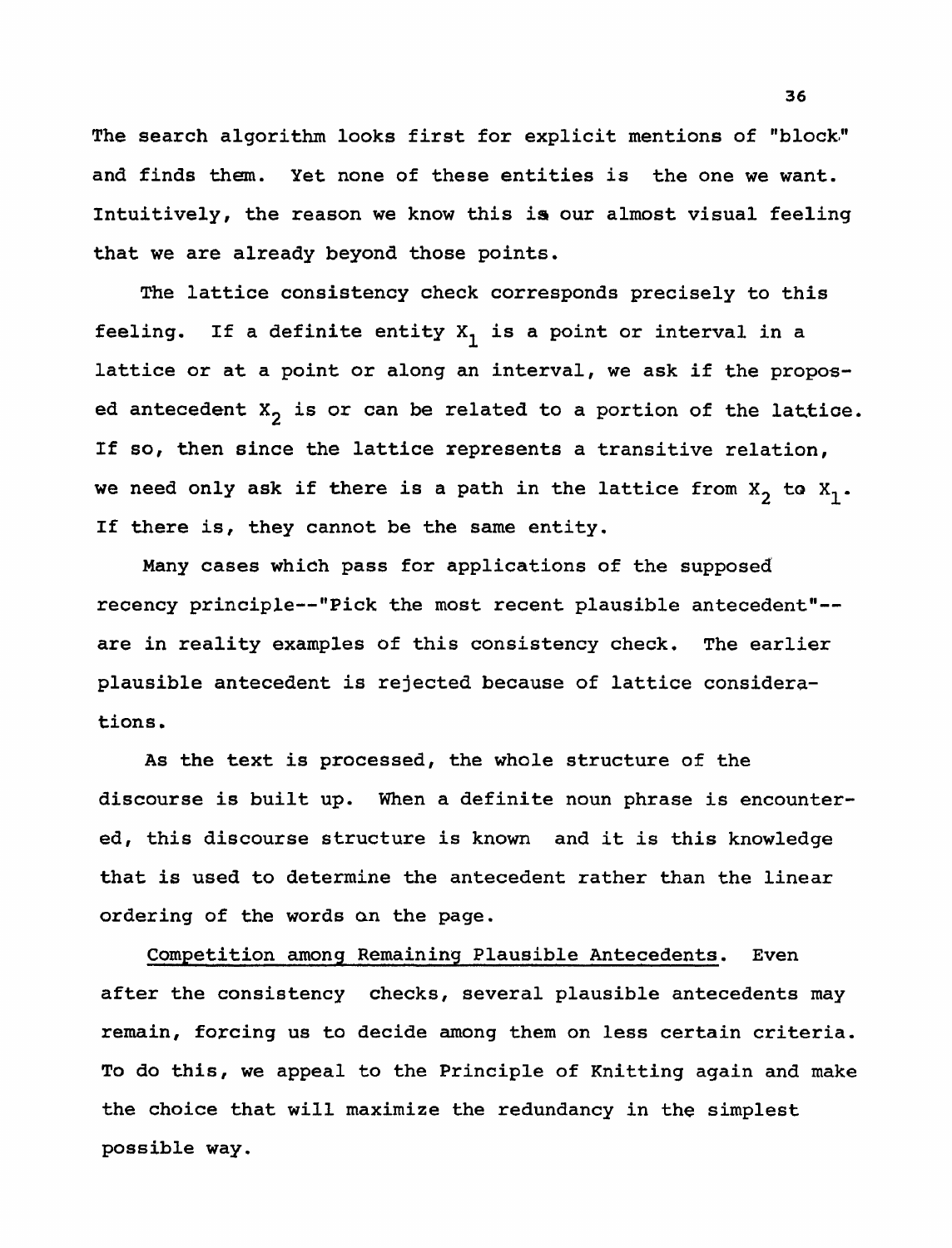**The search algorithm looks first** for **explicit** mentions of **"blockl" and finds** them. **Yet none of these entities is the one we want. Intuitively, the reason we know this is our almost visual feeling that we are already beyond those points.** 

**The lattice consistency check corresponds precisely to this**  feeling. If a definite entity X<sub>1</sub> is a point or interval in a **lattice or at a point or along an interval, we ask if the proposed antecedent X2 is or can be related to a portion of the lattice. If so, then since the lattice represents a** transitive **relation,**  we need only ask if there is a path in the lattice from  $X_2$  to  $X_1$ . **If there is, they cannot be the same entity.** 

**Many cases which pass for applications of the supposed**  recency principle--"Pick the most recent plausible antecedent"-**are in reality examples of this** consistency **check. The** earlier **plausible antecedent is rejected because of lattice** considera**tions.** 

**As the text is processed, the whole structure of the discourse is built up. When a definite noun phrase is encountered, this discourse structure is known and it is this knowledge that is used to determine the antecedent rather than the linear**  ordering of the words on the **page.** 

**Competition** among **Remaining Plausible** Antecedents. **Even**  after **the consistency** checks, **several plausible antecedents may remain,** forcing **us to** decide **among them on less certain** criteria. **To** do this, **we appeal** to **the Principle** of **Knitting again and make the choice that will maximize** the **redundancy in** the **simplest possible way.**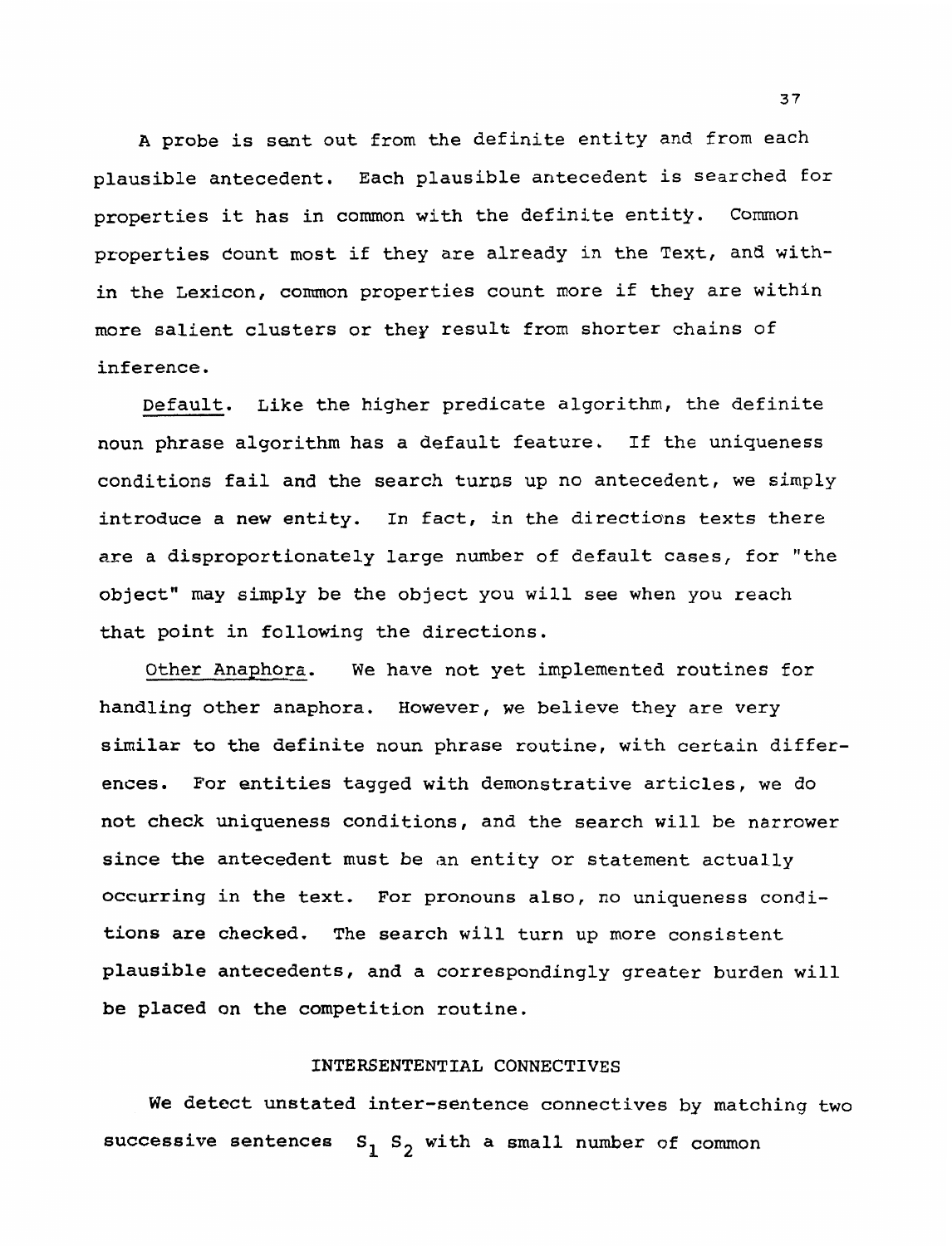**A probe is sent out** from **the definite entity and from each plausible** antecedent. **Each plausible antecedent is searched** for **properties it has in** comon **with the definite entity. Common properties** Count **most if they are already in the Text, an8 within the Lexicon,** comon **properties count more if they are within more salient clusters or they result from shorter chains of inference.** 

**Default. Like the higher predicate algorithm, the definite noun phrase algorithm has a default feature. If the uniqueness conditions fail and the search** turns **up no antecedent, we simply introduce a new** entity. **In fact, in the** directians **texts there are a disproportionately large number of default cases, for "the object" may simply be the object you will see when you reach that point in following the directions.** 

**Other** Anaphora. **We have not yet implemented** routines **for handling** other anaphora. **However, we believe they** are **very similar to the definite** noun **phrase** routine, with certain differ**ences.** For **entities tagged with demonstrative articles, we do not check uniqueness conditions, and the search will be narrower since the antecedent must be an entity or statement actually**  occurring **in** the **text. For** pronouns **also, no uniqueness** conditions **are checked. The search will turn up more consistent plausible antecedents, and a correspondingly greater** burden **will be placed on the competition routine.** 

## **INTERSENTENTIAL CONNECTIVES**

**We** detect **unstated inter-sentence connectives by matching two successive sentences**  $S_1$   $S_2$  with a small number of common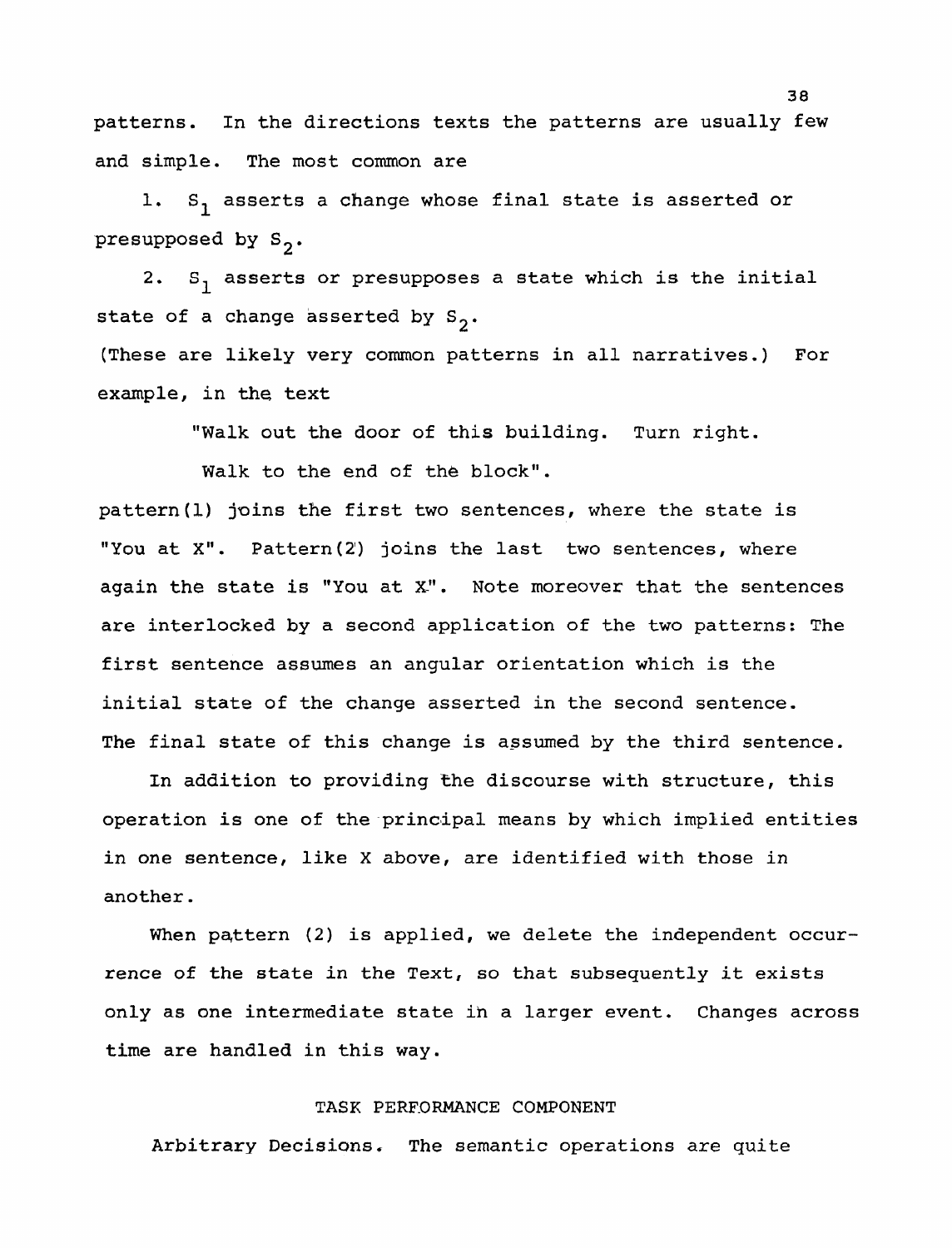**patterns. In the directions texts the patterns are usually few and simple. The most common are** 

1. S<sub>1</sub> asserts a change whose final state is asserted or presupposed by  $S_2$ .

**2.** S1 **asserts or presupposes a state which is the initial**  state of a change asserted by S<sub>2</sub>.

**(These are likely very** common **patterns in all narratives,) For example, in the text** 

**"Walk out the door of this building. Turn right.** 

Walk to the end of the block".

**pattern(1)** joins **the first two sentences, where the state is "You at X", Pattern(2') joins the last two sentences,** where **again the state is "You at X-".** Note **moreover that the sentences axe interlocked by n second application of the two** patterns: **The**  first **sentence assumes an angular orientation which is the initial state of the change asserted in the second sentence. The final state of this change is assumed by the third sentence.** 

**In addition to providing the discourse with structure, this operation** is one of the-princlipal **means** by **which implied entities in one sentence, like X above, are identified with those in**  another.

**When pqttern (2) is applied, we delete the independent occurrence of the state in the Text, so that subsequently** it **exists only as one intermediate state ih a** larger **event. Changes across time are handled in this way.** 

#### TASK PERFORMANCE COMPONENT

**Arbitrary Decisians, The semantic operations are quite**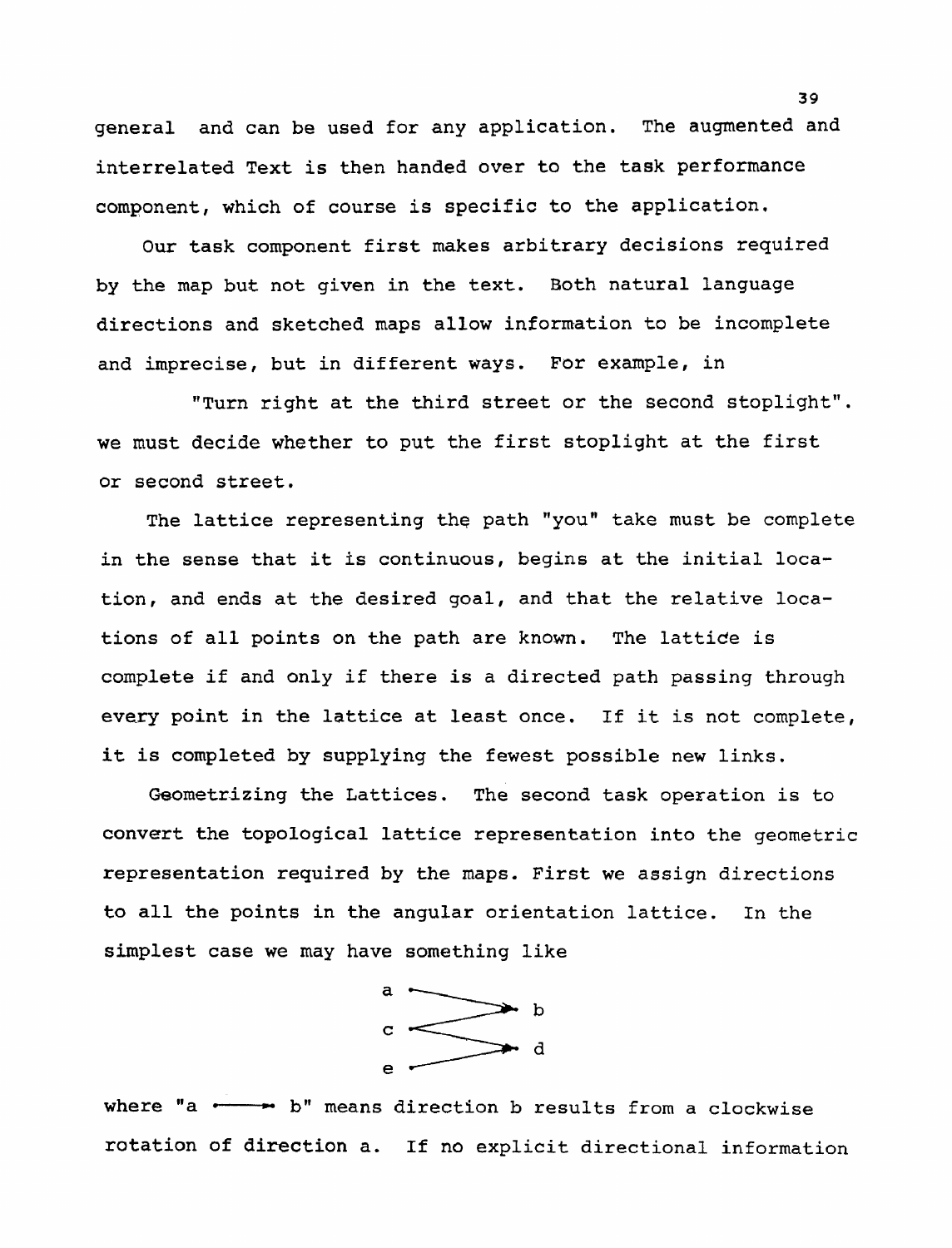general and **can** be **used for any application. The augmented and**  interrelated **Text** is then **handed aver to the task performance component, which of course is specific to the** application.

**Our task** component **first makes arbitrary decisions** required **by the map but not given in the text. Both natural language**  directions **and** sketched maps allow **information to be incomplete**  and imprecise, but in different ways. For example, in

**nTurn right at the third street or the second stoplight". we must decide whether to put the first stoplight at the first or second street,** 

The lattice **representing the** path **"your' take must be complete**  in **the sense** that it is **continuous, begins at the initial location, and ends at the desired goal, and that the relative locations of all points on the path are known. The lattide is complete if and only if there is a directed path passing through every point in the lattice at least** once. **If it is not complete, it is** completed by **supplying** the **fewest possible** new **links.** 

Geometrizing the Lattices. The second task operation is to convert the **topological lattice representation into the geometric**  representation **required** by the **maps. First we assign** directions **to all** the **points in the angular orientation lattice. In the simplest case we may have something like** 



**rotation of** direction **a. If no explicit directional information**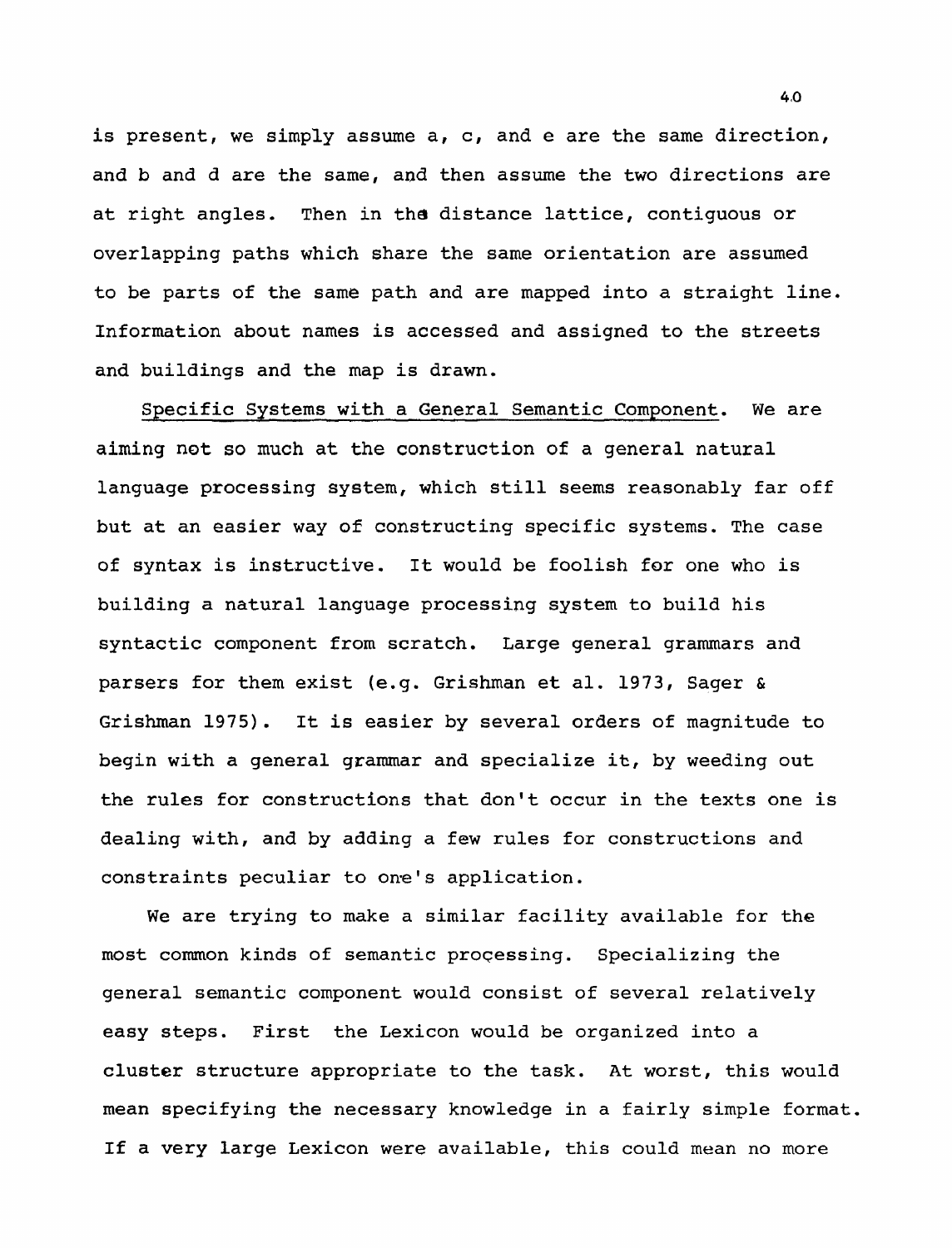is present, we simply assume a, c, and e are the same direction, and b and d are the same, and then **assume** the two **directions are**  at right angles, Then in the distance lattice, contiguous or overlapping paths which share the same orientation are assumed to **be parts of the same path and** are mapped into a straight line. Information about names is accessed and assigned to the streets and buildings and the map is drawn,

Specific Systems with a General Semantic Component. We are aiming not so much **at the construction** of **a general natural language** processing **system,** which still seems reasonably far off but at an easier **way** of constructing specific systems. The case of syntax is instructive. It would be foolish for one who is building a natural language processing system to build his syntactic component from scratch. Large general grammars and parsers for them exist **(e.g.** Grishman et **al.** 1973, Sager & **Grishrnan** 1975). It is easier by several **orders** of magnitude to begin with a general grammar and specialize it, by weeding out the rules for constructions that don't occur in the texts one is dealing with, and by adding a few rules for constructions and constraints peculiar to one's application.

We are trying to make a similar facility available for the most common kinds of semantic processing. Specializing the general semantic component would consist of several relatively easy steps. First the Lexicon would be organized into a cluster structure appropriate to the task. At worst, this would mean specifying the necessary knowledge in a fairly simple format. If a very large Lexicon were available, this could mean no more

**4 (0**